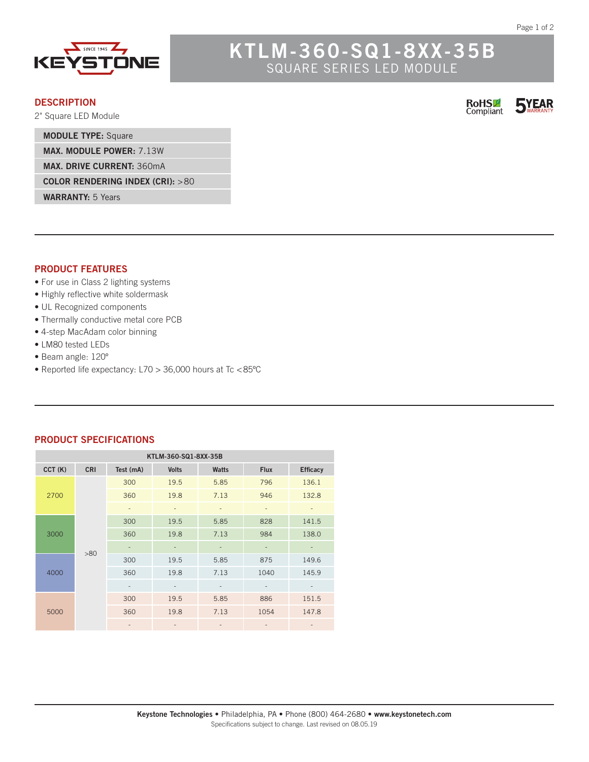

# **KTLM-360-SQ1-8XX-35B** SQUARE SERIES LED MODULE

### **DESCRIPTION**

2" Square LED Module

**MODULE TYPE:** Square

**MAX. MODULE POWER:** 7.13W

**MAX. DRIVE CURRENT:** 360mA

**COLOR RENDERING INDEX (CRI):** >80

**WARRANTY:** 5 Years

### **PRODUCT FEATURES**

- For use in Class 2 lighting systems
- Highly reflective white soldermask
- UL Recognized components
- Thermally conductive metal core PCB
- 4-step MacAdam color binning
- LM80 tested LEDs
- Beam angle: 120º
- Reported life expectancy: L70 > 36,000 hours at Tc <85ºC

#### **PRODUCT SPECIFICATIONS**

|        | KTLM-360-SQ1-8XX-35B<br><b>CRI</b><br>Test (mA)<br><b>Volts</b><br><b>Watts</b><br><b>Flux</b><br><b>Efficacy</b><br>300<br>19.5<br>5.85<br>796<br>136.1<br>360<br>19.8<br>946<br>132.8<br>7.13<br>$\bar{ }$<br>$\overline{\phantom{a}}$<br>$\qquad \qquad =$<br>$\overline{\phantom{a}}$<br>$\overline{\phantom{m}}$<br>828<br>141.5<br>300<br>19.5<br>5.85<br>984<br>138.0<br>360<br>19.8<br>7.13 |                          |      |                              |      |       |
|--------|-----------------------------------------------------------------------------------------------------------------------------------------------------------------------------------------------------------------------------------------------------------------------------------------------------------------------------------------------------------------------------------------------------|--------------------------|------|------------------------------|------|-------|
| CCT(K) |                                                                                                                                                                                                                                                                                                                                                                                                     |                          |      |                              |      |       |
|        |                                                                                                                                                                                                                                                                                                                                                                                                     |                          |      |                              |      |       |
| 2700   |                                                                                                                                                                                                                                                                                                                                                                                                     |                          |      |                              |      |       |
|        |                                                                                                                                                                                                                                                                                                                                                                                                     |                          |      |                              |      |       |
|        |                                                                                                                                                                                                                                                                                                                                                                                                     |                          |      |                              |      |       |
| 3000   |                                                                                                                                                                                                                                                                                                                                                                                                     |                          |      |                              |      |       |
|        | >80                                                                                                                                                                                                                                                                                                                                                                                                 |                          |      |                              |      |       |
|        |                                                                                                                                                                                                                                                                                                                                                                                                     | 300                      | 19.5 | 5.85                         | 875  | 149.6 |
| 4000   |                                                                                                                                                                                                                                                                                                                                                                                                     | 360                      | 19.8 | 7.13                         | 1040 | 145.9 |
|        |                                                                                                                                                                                                                                                                                                                                                                                                     | $\overline{\phantom{a}}$ |      | $\overline{\phantom{a}}$     |      |       |
|        |                                                                                                                                                                                                                                                                                                                                                                                                     | 300                      | 19.5 | 5.85                         | 886  | 151.5 |
| 5000   |                                                                                                                                                                                                                                                                                                                                                                                                     | 360                      | 19.8 | 7.13                         | 1054 | 147.8 |
|        |                                                                                                                                                                                                                                                                                                                                                                                                     | $\overline{\phantom{a}}$ |      | $\qquad \qquad \blacksquare$ | -    |       |